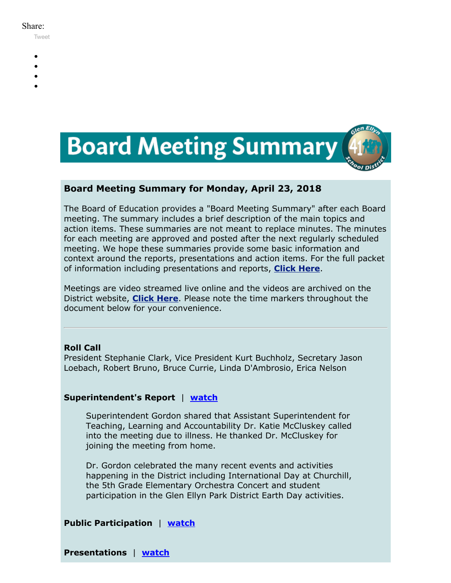#### Share:

[Tweet](https://twitter.com/intent/tweet?original_referer=https%3A%2F%2Fmyemail.constantcontact.com%2FBoard-Meeting-Summary-for-April-23--2018.html%3Fsoid%3D1102200973173%26aid%3D1HtZZbjz3VE&ref_src=twsrc%5Etfw&text=Board%20Meeting%20Summary%20for%20April%2023%2C%202018&tw_p=tweetbutton&url=https%3A%2F%2Fmyemail.constantcontact.com%2FBoard-Meeting-Summary-for-April-23--2018.html%3Fsoid%3D1102200973173%26aid%3D1HtZZbjz3VE)

- -
- 
- 
- 



# **Board Meeting Summary for Monday, April 23, 2018**

The Board of Education provides a "Board Meeting Summary" after each Board meeting. The summary includes a brief description of the main topics and action items. These summaries are not meant to replace minutes. The minutes for each meeting are approved and posted after the next regularly scheduled meeting. We hope these summaries provide some basic information and context around the reports, presentations and action items. For the full packet of information including presentations and reports, **[Click Here](http://www.d41.org/domain/36)**.

Meetings are video streamed live online and the videos are archived on the District website, **[Click Here](http://www.d41.org/domain/463)**. Please note the time markers throughout the document below for your convenience.

# **Roll Call**

President Stephanie Clark, Vice President Kurt Buchholz, Secretary Jason Loebach, Robert Bruno, Bruce Currie, Linda D'Ambrosio, Erica Nelson

# **Superintendent's Report** | **[watch](https://youtu.be/ysphrMI1Wx0?t=38s)**

Superintendent Gordon shared that Assistant Superintendent for Teaching, Learning and Accountability Dr. Katie McCluskey called into the meeting due to illness. He thanked Dr. McCluskey for joining the meeting from home.

Dr. Gordon celebrated the many recent events and activities happening in the District including International Day at Churchill, the 5th Grade Elementary Orchestra Concert and student participation in the Glen Ellyn Park District Earth Day activities.

**Public Participation** | **[watch](https://youtu.be/ysphrMI1Wx0?t=6m50s)**

**Presentations** | **[watch](https://youtu.be/ysphrMI1Wx0?t=1h01m01s)**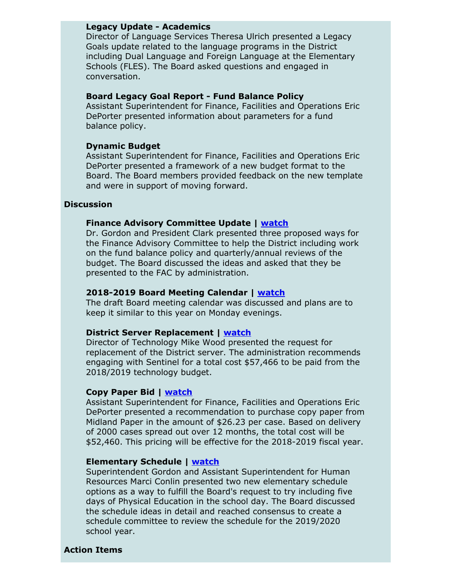## **Legacy Update - Academics**

Director of Language Services Theresa Ulrich presented a Legacy Goals update related to the language programs in the District including Dual Language and Foreign Language at the Elementary Schools (FLES). The Board asked questions and engaged in conversation.

#### **Board Legacy Goal Report - Fund Balance Policy**

Assistant Superintendent for Finance, Facilities and Operations Eric DePorter presented information about parameters for a fund balance policy.

## **Dynamic Budget**

Assistant Superintendent for Finance, Facilities and Operations Eric DePorter presented a framework of a new budget format to the Board. The Board members provided feedback on the new template and were in support of moving forward.

### **Discussion**

### **Finance Advisory Committee Update | [watch](https://youtu.be/ysphrMI1Wx0?t=2h21m45s)**

Dr. Gordon and President Clark presented three proposed ways for the Finance Advisory Committee to help the District including work on the fund balance policy and quarterly/annual reviews of the budget. The Board discussed the ideas and asked that they be presented to the FAC by administration.

#### **2018-2019 Board Meeting Calendar | [watch](https://youtu.be/ysphrMI1Wx0?t=2h35m10s)**

The draft Board meeting calendar was discussed and plans are to keep it similar to this year on Monday evenings.

#### **District Server Replacement | [watch](https://youtu.be/ysphrMI1Wx0?t=2h36m05s)**

Director of Technology Mike Wood presented the request for replacement of the District server. The administration recommends engaging with Sentinel for a total cost \$57,466 to be paid from the 2018/2019 technology budget.

## **Copy Paper Bid | [watch](https://youtu.be/ysphrMI1Wx0?t=2h39m45s)**

Assistant Superintendent for Finance, Facilities and Operations Eric DePorter presented a recommendation to purchase copy paper from Midland Paper in the amount of \$26.23 per case. Based on delivery of 2000 cases spread out over 12 months, the total cost will be \$52,460. This pricing will be effective for the 2018-2019 fiscal year.

## **Elementary Schedule | [watch](https://youtu.be/ysphrMI1Wx0?t=2h42m40s)**

Superintendent Gordon and Assistant Superintendent for Human Resources Marci Conlin presented two new elementary schedule options as a way to fulfill the Board's request to try including five days of Physical Education in the school day. The Board discussed the schedule ideas in detail and reached consensus to create a schedule committee to review the schedule for the 2019/2020 school year.

### **Action Items**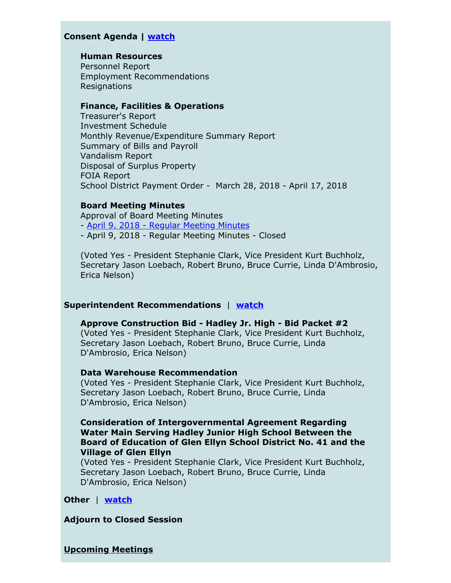# **Consent Agenda | [watch](https://youtu.be/ysphrMI1Wx0?t=3h34m28s)**

## **Human Resources**

Personnel Report Employment Recommendations Resignations

### **Finance, Facilities & Operations**

Treasurer's Report Investment Schedule Monthly Revenue/Expenditure Summary Report Summary of Bills and Payroll Vandalism Report Disposal of Surplus Property FOIA Report School District Payment Order - March 28, 2018 - April 17, 2018

#### **Board Meeting Minutes**

Approval of Board Meeting Minutes - April 9, 2018 - Regular [Meeting](https://v3.boardbook.org/Public/PublicItemDownload.aspx?mk=50280443&fn=minutes.pdf) Minutes - April 9, 2018 - Regular Meeting Minutes - Closed

(Voted Yes - President Stephanie Clark, Vice President Kurt Buchholz, Secretary Jason Loebach, Robert Bruno, Bruce Currie, Linda D'Ambrosio, Erica Nelson)

#### **Superintendent Recommendations** | **[watch](https://youtu.be/ysphrMI1Wx0?t=3h35m50s)**

**Approve Construction Bid - Hadley Jr. High - Bid Packet #2** (Voted Yes - President Stephanie Clark, Vice President Kurt Buchholz, Secretary Jason Loebach, Robert Bruno, Bruce Currie, Linda D'Ambrosio, Erica Nelson)

#### **Data Warehouse Recommendation**

(Voted Yes - President Stephanie Clark, Vice President Kurt Buchholz, Secretary Jason Loebach, Robert Bruno, Bruce Currie, Linda D'Ambrosio, Erica Nelson)

# **Consideration of Intergovernmental Agreement Regarding Water Main Serving Hadley Junior High School Between the Board of Education of Glen Ellyn School District No. 41 and the Village of Glen Ellyn**

(Voted Yes - President Stephanie Clark, Vice President Kurt Buchholz, Secretary Jason Loebach, Robert Bruno, Bruce Currie, Linda D'Ambrosio, Erica Nelson)

## **Other** | **[watch](https://youtu.be/ysphrMI1Wx0?t=3h43m44s)**

**Adjourn to Closed Session**

**Upcoming Meetings**